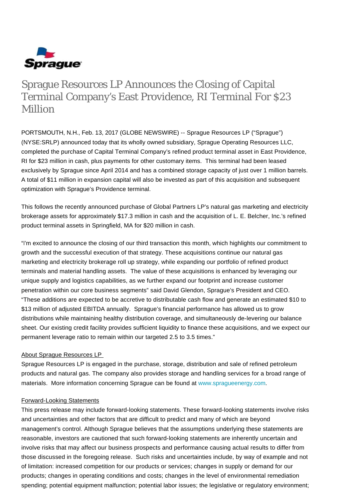

# Sprague Resources LP Announces the Closing of Capital Terminal Company's East Providence, RI Terminal For \$23 Million

PORTSMOUTH, N.H., Feb. 13, 2017 (GLOBE NEWSWIRE) -- Sprague Resources LP ("Sprague") (NYSE:SRLP) announced today that its wholly owned subsidiary, Sprague Operating Resources LLC, completed the purchase of Capital Terminal Company's refined product terminal asset in East Providence, RI for \$23 million in cash, plus payments for other customary items. This terminal had been leased exclusively by Sprague since April 2014 and has a combined storage capacity of just over 1 million barrels. A total of \$11 million in expansion capital will also be invested as part of this acquisition and subsequent optimization with Sprague's Providence terminal.

This follows the recently announced purchase of Global Partners LP's natural gas marketing and electricity brokerage assets for approximately \$17.3 million in cash and the acquisition of L. E. Belcher, Inc.'s refined product terminal assets in Springfield, MA for \$20 million in cash.

"I'm excited to announce the closing of our third transaction this month, which highlights our commitment to growth and the successful execution of that strategy. These acquisitions continue our natural gas marketing and electricity brokerage roll up strategy, while expanding our portfolio of refined product terminals and material handling assets. The value of these acquisitions is enhanced by leveraging our unique supply and logistics capabilities, as we further expand our footprint and increase customer penetration within our core business segments" said David Glendon, Sprague's President and CEO. "These additions are expected to be accretive to distributable cash flow and generate an estimated \$10 to \$13 million of adjusted EBITDA annually. Sprague's financial performance has allowed us to grow distributions while maintaining healthy distribution coverage, and simultaneously de-levering our balance sheet. Our existing credit facility provides sufficient liquidity to finance these acquisitions, and we expect our permanent leverage ratio to remain within our targeted 2.5 to 3.5 times."

#### About Sprague Resources LP

Sprague Resources LP is engaged in the purchase, storage, distribution and sale of refined petroleum products and natural gas. The company also provides storage and handling services for a broad range of materials. More information concerning Sprague can be found at [www.spragueenergy.com](http://www.spragueenergy.com/).

#### Forward-Looking Statements

This press release may include forward-looking statements. These forward-looking statements involve risks and uncertainties and other factors that are difficult to predict and many of which are beyond management's control. Although Sprague believes that the assumptions underlying these statements are reasonable, investors are cautioned that such forward-looking statements are inherently uncertain and involve risks that may affect our business prospects and performance causing actual results to differ from those discussed in the foregoing release. Such risks and uncertainties include, by way of example and not of limitation: increased competition for our products or services; changes in supply or demand for our products; changes in operating conditions and costs; changes in the level of environmental remediation spending; potential equipment malfunction; potential labor issues; the legislative or regulatory environment;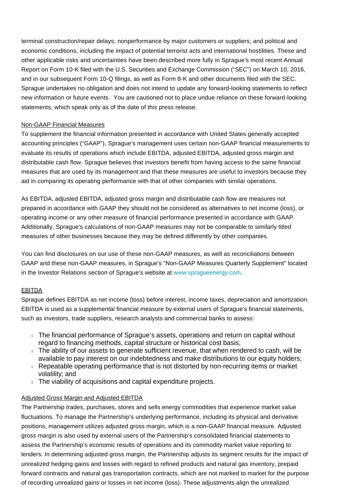terminal construction/repair delays; nonperformance by major customers or suppliers; and political and economic conditions, including the impact of potential terrorist acts and international hostilities. These and other applicable risks and uncertainties have been described more fully in Sprague's most recent Annual Report on Form 10-K filed with the U.S. Securities and Exchange Commission ("SEC") on March 10, 2016, and in our subsequent Form 10-Q filings, as well as Form 8-K and other documents filed with the SEC. Sprague undertakes no obligation and does not intend to update any forward-looking statements to reflect new information or future events. You are cautioned not to place undue reliance on these forward-looking statements, which speak only as of the date of this press release.

#### Non-GAAP Financial Measures

To supplement the financial information presented in accordance with United States generally accepted accounting principles ("GAAP"), Sprague's management uses certain non-GAAP financial measurements to evaluate its results of operations which include EBITDA, adjusted EBITDA, adjusted gross margin and distributable cash flow. Sprague believes that investors benefit from having access to the same financial measures that are used by its management and that these measures are useful to investors because they aid in comparing its operating performance with that of other companies with similar operations.

As EBITDA, adjusted EBITDA, adjusted gross margin and distributable cash flow are measures not prepared in accordance with GAAP they should not be considered as alternatives to net income (loss), or operating income or any other measure of financial performance presented in accordance with GAAP. Additionally, Sprague's calculations of non-GAAP measures may not be comparable to similarly titled measures of other businesses because they may be defined differently by other companies.

You can find disclosures on our use of these non-GAAP measures, as well as reconciliations between GAAP and these non-GAAP measures, in Sprague's "Non-GAAP Measures Quarterly Supplement" located in the Investor Relations section of Sprague's website at [www.spragueenergy.com.](http://www.spragueenergy.com/)

#### EBITDA

Sprague defines EBITDA as net income (loss) before interest, income taxes, depreciation and amortization. EBITDA is used as a supplemental financial measure by external users of Sprague's financial statements, such as investors, trade suppliers, research analysts and commercial banks to assess:

- The financial performance of Sprague's assets, operations and return on capital without regard to financing methods, capital structure or historical cost basis;
- $\pm$  The ability of our assets to generate sufficient revenue, that when rendered to cash, will be available to pay interest on our indebtedness and make distributions to our equity holders;
- Repeatable operating performance that is not distorted by non-recurring items or market volatility; and
- The viability of acquisitions and capital expenditure projects.

## Adjusted Gross Margin and Adjusted EBITDA

The Partnership trades, purchases, stores and sells energy commodities that experience market value fluctuations. To manage the Partnership's underlying performance, including its physical and derivative positions, management utilizes adjusted gross margin, which is a non-GAAP financial measure. Adjusted gross margin is also used by external users of the Partnership's consolidated financial statements to assess the Partnership's economic results of operations and its commodity market value reporting to lenders. In determining adjusted gross margin, the Partnership adjusts its segment results for the impact of unrealized hedging gains and losses with regard to refined products and natural gas inventory, prepaid forward contracts and natural gas transportation contracts, which are not marked to market for the purpose of recording unrealized gains or losses in net income (loss). These adjustments align the unrealized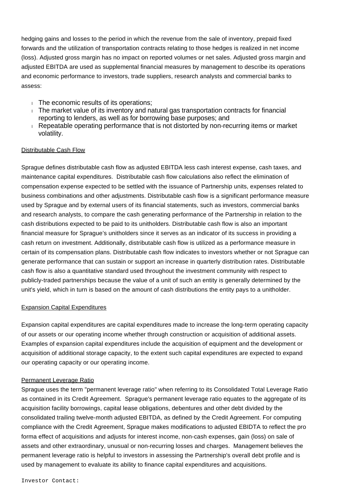hedging gains and losses to the period in which the revenue from the sale of inventory, prepaid fixed forwards and the utilization of transportation contracts relating to those hedges is realized in net income (loss). Adjusted gross margin has no impact on reported volumes or net sales. Adjusted gross margin and adjusted EBITDA are used as supplemental financial measures by management to describe its operations and economic performance to investors, trade suppliers, research analysts and commercial banks to assess:

- The economic results of its operations:
- The market value of its inventory and natural gas transportation contracts for financial reporting to lenders, as well as for borrowing base purposes; and
- Repeatable operating performance that is not distorted by non-recurring items or market volatility.

### Distributable Cash Flow

Sprague defines distributable cash flow as adjusted EBITDA less cash interest expense, cash taxes, and maintenance capital expenditures. Distributable cash flow calculations also reflect the elimination of compensation expense expected to be settled with the issuance of Partnership units, expenses related to business combinations and other adjustments. Distributable cash flow is a significant performance measure used by Sprague and by external users of its financial statements, such as investors, commercial banks and research analysts, to compare the cash generating performance of the Partnership in relation to the cash distributions expected to be paid to its unitholders. Distributable cash flow is also an important financial measure for Sprague's unitholders since it serves as an indicator of its success in providing a cash return on investment. Additionally, distributable cash flow is utilized as a performance measure in certain of its compensation plans. Distributable cash flow indicates to investors whether or not Sprague can generate performance that can sustain or support an increase in quarterly distribution rates. Distributable cash flow is also a quantitative standard used throughout the investment community with respect to publicly-traded partnerships because the value of a unit of such an entity is generally determined by the unit's yield, which in turn is based on the amount of cash distributions the entity pays to a unitholder.

#### Expansion Capital Expenditures

Expansion capital expenditures are capital expenditures made to increase the long-term operating capacity of our assets or our operating income whether through construction or acquisition of additional assets. Examples of expansion capital expenditures include the acquisition of equipment and the development or acquisition of additional storage capacity, to the extent such capital expenditures are expected to expand our operating capacity or our operating income.

#### Permanent Leverage Ratio

Sprague uses the term "permanent leverage ratio" when referring to its Consolidated Total Leverage Ratio as contained in its Credit Agreement. Sprague's permanent leverage ratio equates to the aggregate of its acquisition facility borrowings, capital lease obligations, debentures and other debt divided by the consolidated trailing twelve-month adjusted EBITDA, as defined by the Credit Agreement. For computing compliance with the Credit Agreement, Sprague makes modifications to adjusted EBIDTA to reflect the pro forma effect of acquisitions and adjusts for interest income, non-cash expenses, gain (loss) on sale of assets and other extraordinary, unusual or non-recurring losses and charges. Management believes the permanent leverage ratio is helpful to investors in assessing the Partnership's overall debt profile and is used by management to evaluate its ability to finance capital expenditures and acquisitions.